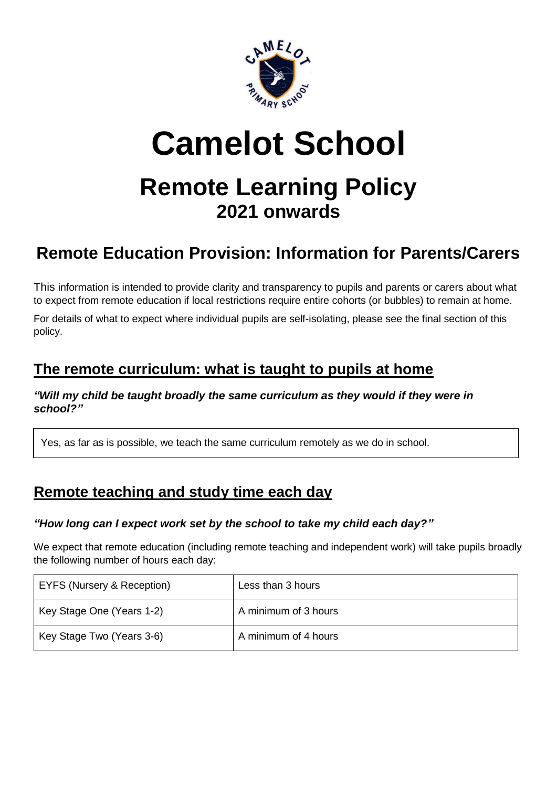

# **Camelot School**

# **Remote Learning Policy 2021 onwards**

## **Remote Education Provision: Information for Parents/Carers**

This information is intended to provide clarity and transparency to pupils and parents or carers about what to expect from remote education if local restrictions require entire cohorts (or bubbles) to remain at home.

For details of what to expect where individual pupils are self-isolating, please see the final section of this policy.

## **The remote curriculum: what is taught to pupils at home**

*"Will my child be taught broadly the same curriculum as they would if they were in school?"*

Yes, as far as is possible, we teach the same curriculum remotely as we do in school.

## **Remote teaching and study time each day**

#### *"How long can I expect work set by the school to take my child each day?"*

We expect that remote education (including remote teaching and independent work) will take pupils broadly the following number of hours each day:

| EYFS (Nursery & Reception) | Less than 3 hours    |
|----------------------------|----------------------|
| Key Stage One (Years 1-2)  | A minimum of 3 hours |
| Key Stage Two (Years 3-6)  | A minimum of 4 hours |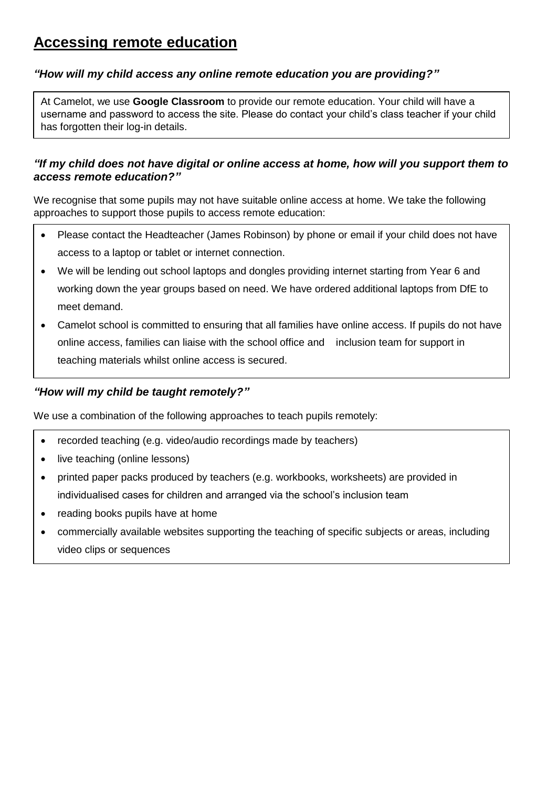## **Accessing remote education**

#### *"How will my child access any online remote education you are providing?"*

At Camelot, we use **Google Classroom** to provide our remote education. Your child will have a username and password to access the site. Please do contact your child's class teacher if your child has forgotten their log-in details.

#### *"If my child does not have digital or online access at home, how will you support them to access remote education?"*

We recognise that some pupils may not have suitable online access at home. We take the following approaches to support those pupils to access remote education:

- Please contact the Headteacher (James Robinson) by phone or email if your child does not have access to a laptop or tablet or internet connection.
- We will be lending out school laptops and dongles providing internet starting from Year 6 and working down the year groups based on need. We have ordered additional laptops from DfE to meet demand.
- Camelot school is committed to ensuring that all families have online access. If pupils do not have online access, families can liaise with the school office and inclusion team for support in teaching materials whilst online access is secured.

#### *"How will my child be taught remotely?"*

We use a combination of the following approaches to teach pupils remotely:

- recorded teaching (e.g. video/audio recordings made by teachers)
- live teaching (online lessons)
- printed paper packs produced by teachers (e.g. workbooks, worksheets) are provided in individualised cases for children and arranged via the school's inclusion team
- reading books pupils have at home
- commercially available websites supporting the teaching of specific subjects or areas, including video clips or sequences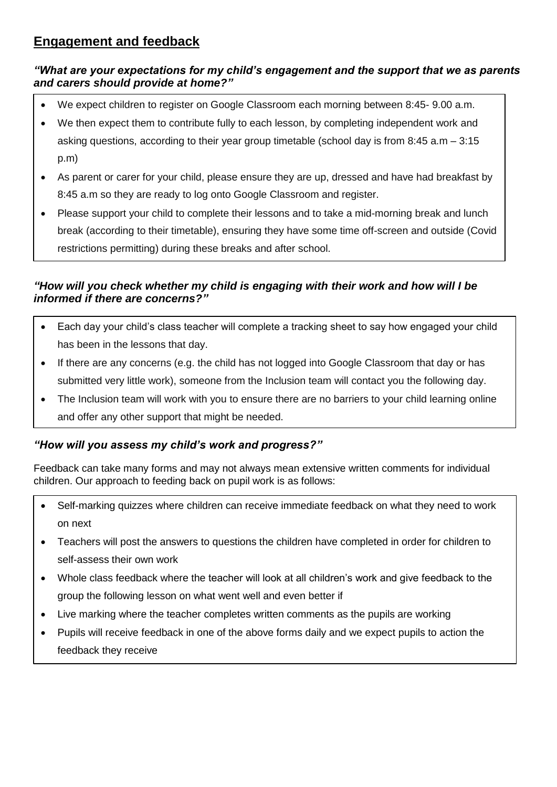### **Engagement and feedback**

#### *"What are your expectations for my child's engagement and the support that we as parents and carers should provide at home?"*

- We expect children to register on Google Classroom each morning between 8:45- 9.00 a.m.
- We then expect them to contribute fully to each lesson, by completing independent work and asking questions, according to their year group timetable (school day is from 8:45 a.m – 3:15 p.m)
- As parent or carer for your child, please ensure they are up, dressed and have had breakfast by 8:45 a.m so they are ready to log onto Google Classroom and register.
- Please support your child to complete their lessons and to take a mid-morning break and lunch break (according to their timetable), ensuring they have some time off-screen and outside (Covid restrictions permitting) during these breaks and after school.

#### *"How will you check whether my child is engaging with their work and how will I be informed if there are concerns?"*

- Each day your child's class teacher will complete a tracking sheet to say how engaged your child has been in the lessons that day.
- If there are any concerns (e.g. the child has not logged into Google Classroom that day or has submitted very little work), someone from the Inclusion team will contact you the following day.
- The Inclusion team will work with you to ensure there are no barriers to your child learning online and offer any other support that might be needed.

#### *"How will you assess my child's work and progress?"*

Feedback can take many forms and may not always mean extensive written comments for individual children. Our approach to feeding back on pupil work is as follows:

- Self-marking quizzes where children can receive immediate feedback on what they need to work on next
- Teachers will post the answers to questions the children have completed in order for children to self-assess their own work
- Whole class feedback where the teacher will look at all children's work and give feedback to the group the following lesson on what went well and even better if
- Live marking where the teacher completes written comments as the pupils are working
- Pupils will receive feedback in one of the above forms daily and we expect pupils to action the feedback they receive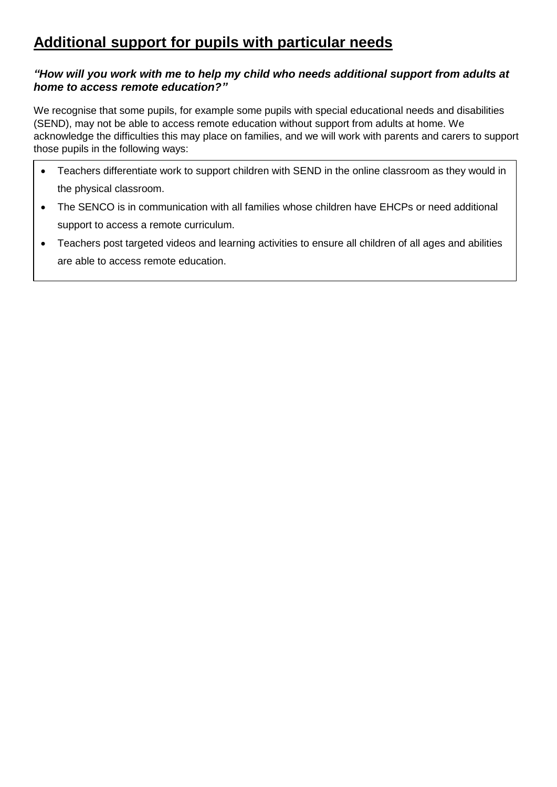## **Additional support for pupils with particular needs**

#### *"How will you work with me to help my child who needs additional support from adults at home to access remote education?"*

We recognise that some pupils, for example some pupils with special educational needs and disabilities (SEND), may not be able to access remote education without support from adults at home. We acknowledge the difficulties this may place on families, and we will work with parents and carers to support those pupils in the following ways:

- Teachers differentiate work to support children with SEND in the online classroom as they would in the physical classroom.
- The SENCO is in communication with all families whose children have EHCPs or need additional support to access a remote curriculum.
- Teachers post targeted videos and learning activities to ensure all children of all ages and abilities are able to access remote education.